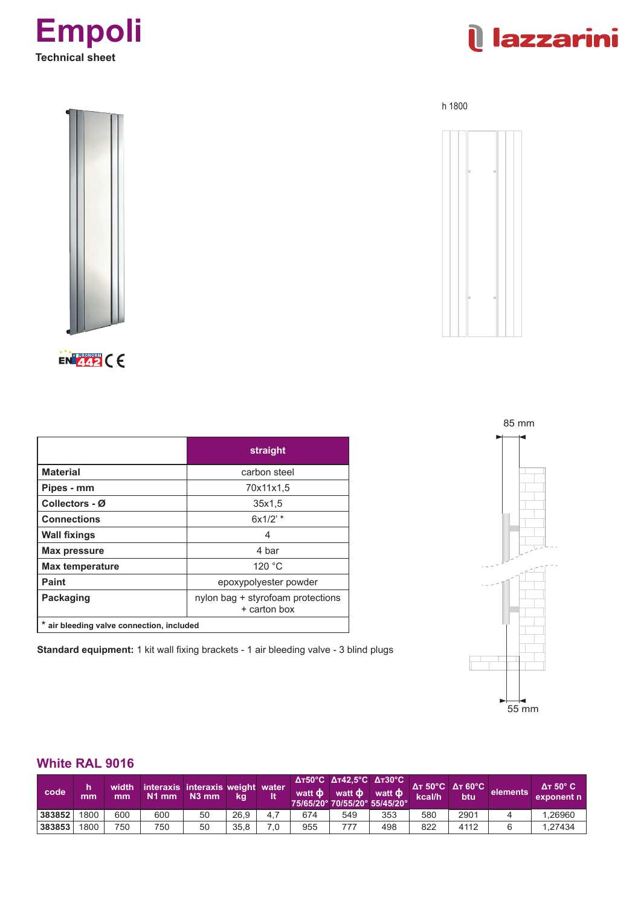



h 1800



EN 442 CE

|                                           | straight                                          |
|-------------------------------------------|---------------------------------------------------|
| <b>Material</b>                           | carbon steel                                      |
| Pipes - mm                                | 70x11x1.5                                         |
| Collectors - Ø                            | 35x1,5                                            |
| <b>Connections</b>                        | $6x1/2$ ' *                                       |
| <b>Wall fixings</b>                       | 4                                                 |
| <b>Max pressure</b>                       | 4 bar                                             |
| <b>Max temperature</b>                    | 120 °C                                            |
| <b>Paint</b>                              | epoxypolyester powder                             |
| <b>Packaging</b>                          | nylon bag + styrofoam protections<br>+ carton box |
| * air bleeding valve connection, included |                                                   |

**Standard equipment:** 1 kit wall fixing brackets - 1 air bleeding valve - 3 blind plugs



## **White RAL 9016**

| code   | mm   | width<br>mm | interaxis interaxis weight water<br>$N1$ mm | $N3$ mm | kq   |     | watt <b>d</b> | $\Delta$ T50°C $\Delta$ T42,5°C $\Delta$ T30°C<br>75/65/20° 70/55/20° 55/45/20° | watt $\Phi$ watt $\Phi$ | <b>Дт 50°С Дт 60°С</b><br>kcal/h | btu  | elements | $\Delta$ T 50 $^{\circ}$ C<br>exponent n |
|--------|------|-------------|---------------------------------------------|---------|------|-----|---------------|---------------------------------------------------------------------------------|-------------------------|----------------------------------|------|----------|------------------------------------------|
| 383852 | 1800 | 600         | 600                                         | 50      | 26.9 | 4.7 | 674           | 549                                                                             | 353                     | 580                              | 2901 |          | .26960                                   |
| 383853 | 1800 | 750         | 750                                         | 50      | 35.8 | 7.0 | 955           |                                                                                 | 498                     | 822                              | 4112 |          | 1.27434                                  |